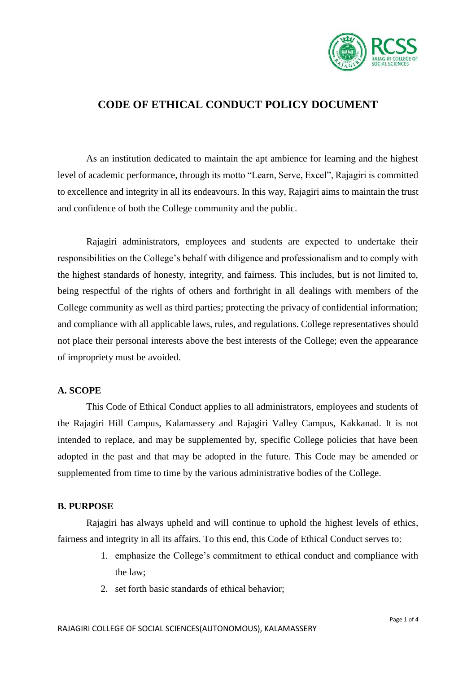

### **CODE OF ETHICAL CONDUCT POLICY DOCUMENT**

As an institution dedicated to maintain the apt ambience for learning and the highest level of academic performance, through its motto "Learn, Serve, Excel", Rajagiri is committed to excellence and integrity in all its endeavours. In this way, Rajagiri aims to maintain the trust and confidence of both the College community and the public.

Rajagiri administrators, employees and students are expected to undertake their responsibilities on the College's behalf with diligence and professionalism and to comply with the highest standards of honesty, integrity, and fairness. This includes, but is not limited to, being respectful of the rights of others and forthright in all dealings with members of the College community as well as third parties; protecting the privacy of confidential information; and compliance with all applicable laws, rules, and regulations. College representatives should not place their personal interests above the best interests of the College; even the appearance of impropriety must be avoided.

#### **A. SCOPE**

This Code of Ethical Conduct applies to all administrators, employees and students of the Rajagiri Hill Campus, Kalamassery and Rajagiri Valley Campus, Kakkanad. It is not intended to replace, and may be supplemented by, specific College policies that have been adopted in the past and that may be adopted in the future. This Code may be amended or supplemented from time to time by the various administrative bodies of the College.

### **B. PURPOSE**

Rajagiri has always upheld and will continue to uphold the highest levels of ethics, fairness and integrity in all its affairs. To this end, this Code of Ethical Conduct serves to:

- 1. emphasize the College's commitment to ethical conduct and compliance with the law;
- 2. set forth basic standards of ethical behavior;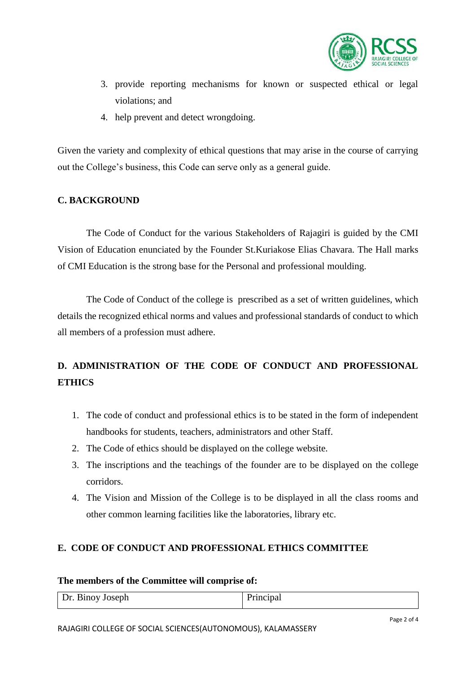

- 3. provide reporting mechanisms for known or suspected ethical or legal violations; and
- 4. help prevent and detect wrongdoing.

Given the variety and complexity of ethical questions that may arise in the course of carrying out the College's business, this Code can serve only as a general guide.

### **C. BACKGROUND**

The Code of Conduct for the various Stakeholders of Rajagiri is guided by the CMI Vision of Education enunciated by the Founder St.Kuriakose Elias Chavara. The Hall marks of CMI Education is the strong base for the Personal and professional moulding.

The Code of Conduct of the college is prescribed as a set of written guidelines, which details the recognized ethical norms and values and professional standards of conduct to which all members of a profession must adhere.

## **D. ADMINISTRATION OF THE CODE OF CONDUCT AND PROFESSIONAL ETHICS**

- 1. The code of conduct and professional ethics is to be stated in the form of independent handbooks for students, teachers, administrators and other Staff.
- 2. The Code of ethics should be displayed on the college website.
- 3. The inscriptions and the teachings of the founder are to be displayed on the college corridors.
- 4. The Vision and Mission of the College is to be displayed in all the class rooms and other common learning facilities like the laboratories, library etc.

### **E. CODE OF CONDUCT AND PROFESSIONAL ETHICS COMMITTEE**

### **The members of the Committee will comprise of:**

| Dr. Binoy Joseph | $D_{\text{min}}$ |
|------------------|------------------|
|                  |                  |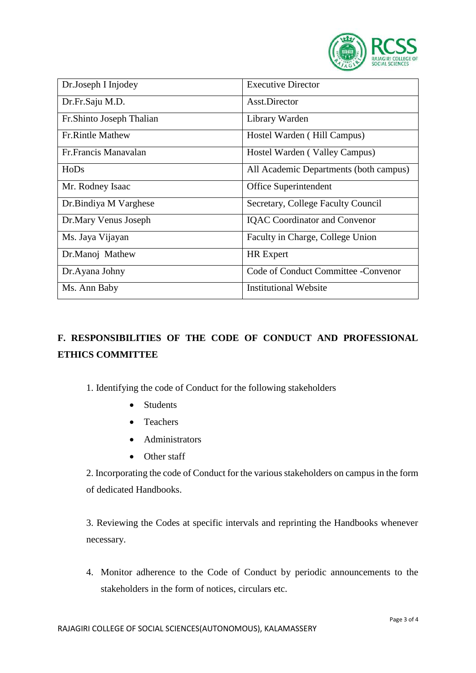

| Dr.Joseph I Injodey       | <b>Executive Director</b>              |
|---------------------------|----------------------------------------|
| Dr.Fr.Saju M.D.           | Asst.Director                          |
| Fr. Shinto Joseph Thalian | Library Warden                         |
| <b>Fr.Rintle Mathew</b>   | Hostel Warden (Hill Campus)            |
| Fr. Francis Manavalan     | Hostel Warden (Valley Campus)          |
| HoDs                      | All Academic Departments (both campus) |
| Mr. Rodney Isaac          | Office Superintendent                  |
| Dr. Bindiya M Varghese    | Secretary, College Faculty Council     |
| Dr.Mary Venus Joseph      | <b>IQAC</b> Coordinator and Convenor   |
| Ms. Jaya Vijayan          | Faculty in Charge, College Union       |
| Dr.Manoj Mathew           | <b>HR</b> Expert                       |
| Dr.Ayana Johny            | Code of Conduct Committee - Convenor   |
| Ms. Ann Baby              | <b>Institutional Website</b>           |

# **F. RESPONSIBILITIES OF THE CODE OF CONDUCT AND PROFESSIONAL ETHICS COMMITTEE**

1. Identifying the code of Conduct for the following stakeholders

- Students
- Teachers
- Administrators
- Other staff

2. Incorporating the code of Conduct for the various stakeholders on campus in the form of dedicated Handbooks.

3. Reviewing the Codes at specific intervals and reprinting the Handbooks whenever necessary.

4. Monitor adherence to the Code of Conduct by periodic announcements to the stakeholders in the form of notices, circulars etc.